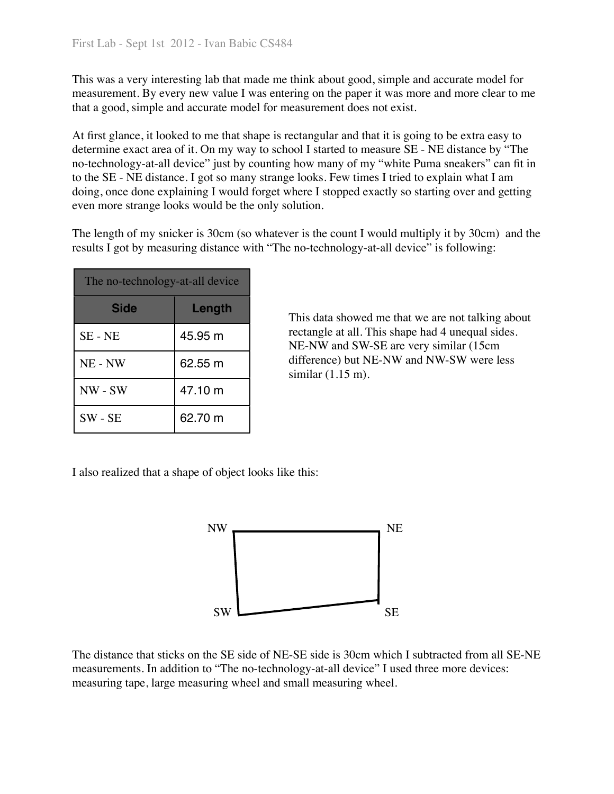This was a very interesting lab that made me think about good, simple and accurate model for measurement. By every new value I was entering on the paper it was more and more clear to me that a good, simple and accurate model for measurement does not exist.

At first glance, it looked to me that shape is rectangular and that it is going to be extra easy to determine exact area of it. On my way to school I started to measure SE - NE distance by "The no-technology-at-all device" just by counting how many of my "white Puma sneakers" can fit in to the SE - NE distance. I got so many strange looks. Few times I tried to explain what I am doing, once done explaining I would forget where I stopped exactly so starting over and getting even more strange looks would be the only solution.

The length of my snicker is 30cm (so whatever is the count I would multiply it by 30cm) and the results I got by measuring distance with "The no-technology-at-all device" is following:

| The no-technology-at-all device |         |  |  |
|---------------------------------|---------|--|--|
| <b>Side</b>                     | Length  |  |  |
| SE - NE                         | 45.95 m |  |  |
| NE - NW                         | 62.55 m |  |  |
| NW - SW                         | 47.10 m |  |  |
| $SW - SE$                       | 62.70 m |  |  |

 This data showed me that we are not talking about rectangle at all. This shape had 4 unequal sides. NE-NW and SW-SE are very similar (15cm difference) but NE-NW and NW-SW were less similar (1.15 m).

I also realized that a shape of object looks like this:



The distance that sticks on the SE side of NE-SE side is 30cm which I subtracted from all SE-NE measurements. In addition to "The no-technology-at-all device" I used three more devices: measuring tape, large measuring wheel and small measuring wheel.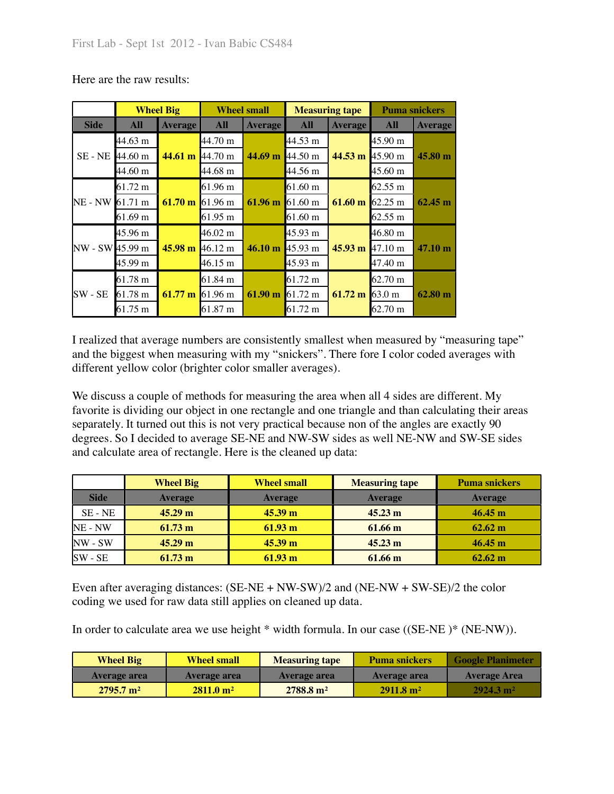|                 |         | <b>Wheel Big</b>            | <b>Wheel small</b> |                    | <b>Measuring tape</b> |                   | <b>Puma snickers</b> |                   |                   |
|-----------------|---------|-----------------------------|--------------------|--------------------|-----------------------|-------------------|----------------------|-------------------|-------------------|
| <b>Side</b>     | All     | <b>Average</b>              | All                | <b>Average</b>     | <b>All</b>            | <b>Average</b>    | <b>All</b>           | <b>Average</b>    |                   |
|                 | 44.63 m |                             | $44.70 \text{ m}$  |                    | 44.53 m               |                   | $45.90 \text{ m}$    |                   |                   |
| SE - NE         | 44.60 m | 44.61 m $[44.70 \text{ m}]$ |                    | 44.69 <sub>m</sub> | $44.50 \text{ m}$     | 44.53 m $45.90$ m |                      | 45.80 m           |                   |
|                 | 44.60 m |                             | $44.68 \text{ m}$  |                    | 44.56 m               |                   | $45.60 \text{ m}$    |                   |                   |
| NE - NW 61.71 m | 61.72 m | $61.70 \text{ m}$           | $61.96 \text{ m}$  | 61.96 m            | $61.60 \text{ m}$     | $61.60 \text{ m}$ | $62.55 \text{ m}$    | 62.45 m           |                   |
|                 |         |                             | $61.96 \text{ m}$  |                    | $61.60 \text{ m}$     |                   | 62.25 m              |                   |                   |
|                 | 61.69 m |                             | 61.95 m            |                    | $61.60 \text{ m}$     |                   | $62.55 \text{ m}$    |                   |                   |
| NW - SW 45.99 m | 45.96 m | 45.98 m 46.12 m             |                    | $46.02 \text{ m}$  |                       | 45.93 m           |                      | 46.80 m           |                   |
|                 |         |                             |                    | 46.10 m            | $45.93 \text{ m}$     | $45.93 \text{ m}$ | $47.10 \text{ m}$    | $47.10 \text{ m}$ |                   |
|                 | 45.99 m |                             | 46.15 m            |                    | 45.93 m               |                   | 47.40 m              |                   |                   |
| SW - SE         | 61.78 m | 61.77 m 61.96 m             | $61.84 \; m$       | 61.90 m            | 61.72 m               |                   | 62.70 m              |                   |                   |
|                 | 61.78 m |                             |                    |                    |                       | $61.72 \text{ m}$ | $61.72 \text{ m}$    | 63.0 m            | $62.80 \text{ m}$ |
|                 | 61.75 m |                             | $61.87 \text{ m}$  |                    | 61.72 m               |                   | $62.70 \text{ m}$    |                   |                   |

Here are the raw results:

I realized that average numbers are consistently smallest when measured by "measuring tape" and the biggest when measuring with my "snickers". There fore I color coded averages with different yellow color (brighter color smaller averages).

We discuss a couple of methods for measuring the area when all 4 sides are different. My favorite is dividing our object in one rectangle and one triangle and than calculating their areas separately. It turned out this is not very practical because non of the angles are exactly 90 degrees. So I decided to average SE-NE and NW-SW sides as well NE-NW and SW-SE sides and calculate area of rectangle. Here is the cleaned up data:

|             | <b>Wheel Big</b>  | <b>Wheel small</b> | <b>Measuring tape</b> | <b>Puma snickers</b> |
|-------------|-------------------|--------------------|-----------------------|----------------------|
| <b>Side</b> | <b>Average</b>    | <b>Average</b>     | <b>Average</b>        | <b>Average</b>       |
| SE - NE     | 45.29 m           | $45.39 \text{ m}$  | $45.23 \text{ m}$     | $46.45 \text{ m}$    |
| NE - NW     | $61.73 \text{ m}$ | $61.93 \text{ m}$  | 61.66 m               | $62.62 \text{ m}$    |
| $NW - SW$   | 45.29 m           | $45.39 \text{ m}$  | $45.23 \text{ m}$     | 46.45 m              |
| $SW - SE$   | $61.73 \text{ m}$ | $61.93 \text{ m}$  | 61.66 m               | $62.62 \text{ m}$    |

Even after averaging distances: (SE-NE + NW-SW)/2 and (NE-NW + SW-SE)/2 the color coding we used for raw data still applies on cleaned up data.

In order to calculate area we use height \* width formula. In our case ((SE-NE )\* (NE-NW)).

| <b>Wheel Big</b>     | <b>Wheel small</b>   | <b>Measuring tape</b> | <b>Puma snickers</b> | <b>Google Planimeter</b> |
|----------------------|----------------------|-----------------------|----------------------|--------------------------|
| <b>Average area</b>  | <b>Average area</b>  | <b>Average area</b>   | <b>Average area</b>  | <b>Average Area</b>      |
| $2795.7 \text{ m}^2$ | $2811.0 \text{ m}^2$ | $2788.8 \text{ m}^2$  | $2911.8 \text{ m}^2$ | $2924.3 \text{ m}^2$     |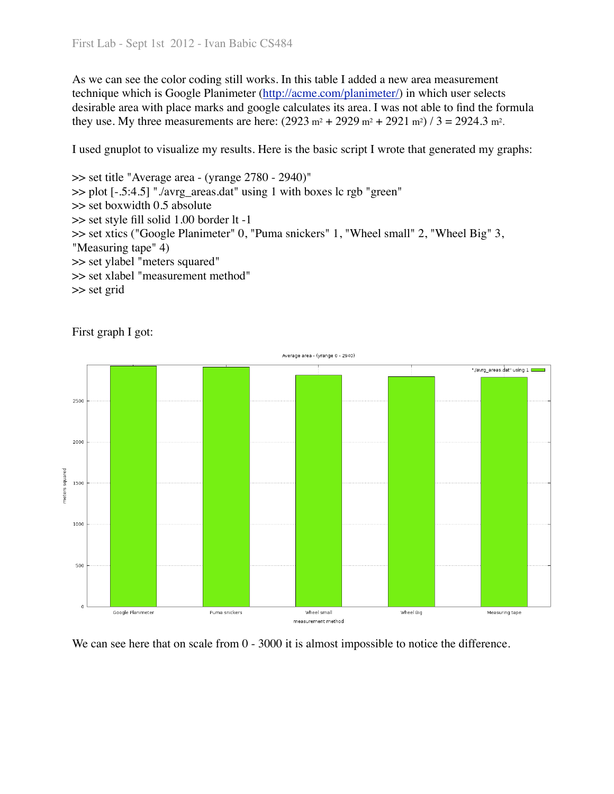As we can see the color coding still works. In this table I added a new area measurement technique which is Google Planimeter [\(http://acme.com/planimeter/\)](http://acme.com/planimeter/) in which user selects desirable area with place marks and google calculates its area. I was not able to find the formula they use. My three measurements are here:  $(2923 \text{ m}^2 + 2929 \text{ m}^2 + 2921 \text{ m}^2) / 3 = 2924.3 \text{ m}^2$ .

I used gnuplot to visualize my results. Here is the basic script I wrote that generated my graphs:

```
>> set title "Average area - (yrange 2780 - 2940)"
>> plot [-.5:4.5] "./avrg_areas.dat" using 1 with boxes lc rgb "green"
>> set boxwidth 0.5 absolute
>> set style fill solid 1.00 border lt -1
>> set xtics ("Google Planimeter" 0, "Puma snickers" 1, "Wheel small" 2, "Wheel Big" 3, 
"Measuring tape" 4)
>> set ylabel "meters squared"
>> set xlabel "measurement method"
>> set grid
```


First graph I got:

We can see here that on scale from  $0 - 3000$  it is almost impossible to notice the difference.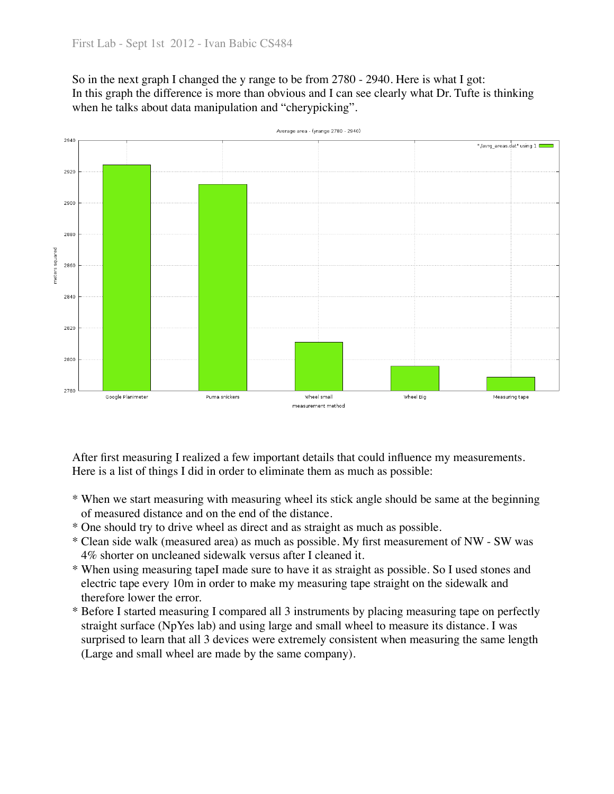So in the next graph I changed the y range to be from 2780 - 2940. Here is what I got: In this graph the difference is more than obvious and I can see clearly what Dr. Tufte is thinking when he talks about data manipulation and "cherypicking".



Average area - (vrange 2780 - 2940)

After first measuring I realized a few important details that could influence my measurements. Here is a list of things I did in order to eliminate them as much as possible:

- \* When we start measuring with measuring wheel its stick angle should be same at the beginning of measured distance and on the end of the distance.
- \* One should try to drive wheel as direct and as straight as much as possible.
- \* Clean side walk (measured area) as much as possible. My first measurement of NW SW was 4% shorter on uncleaned sidewalk versus after I cleaned it.
- \* When using measuring tapeI made sure to have it as straight as possible. So I used stones and electric tape every 10m in order to make my measuring tape straight on the sidewalk and therefore lower the error.
- \* Before I started measuring I compared all 3 instruments by placing measuring tape on perfectly straight surface (NpYes lab) and using large and small wheel to measure its distance. I was surprised to learn that all 3 devices were extremely consistent when measuring the same length (Large and small wheel are made by the same company).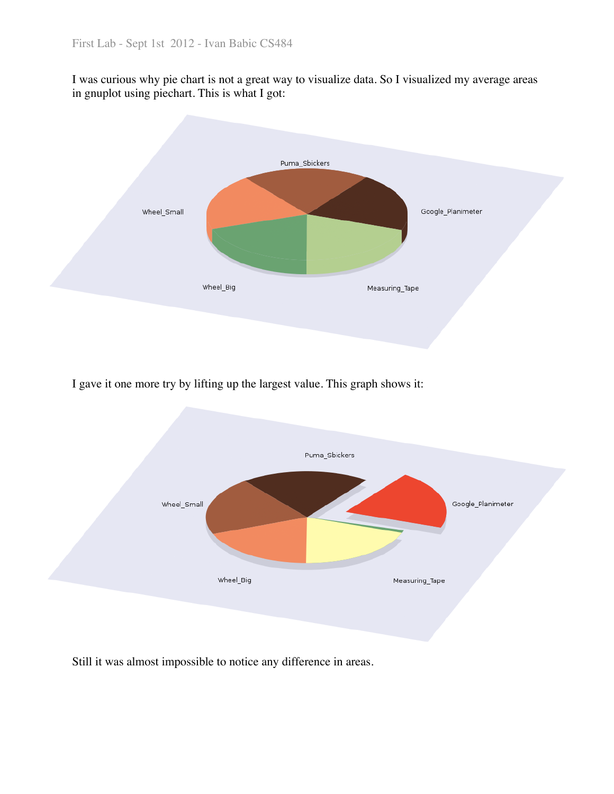I was curious why pie chart is not a great way to visualize data. So I visualized my average areas in gnuplot using piechart. This is what I got:



I gave it one more try by lifting up the largest value. This graph shows it:



Still it was almost impossible to notice any difference in areas.